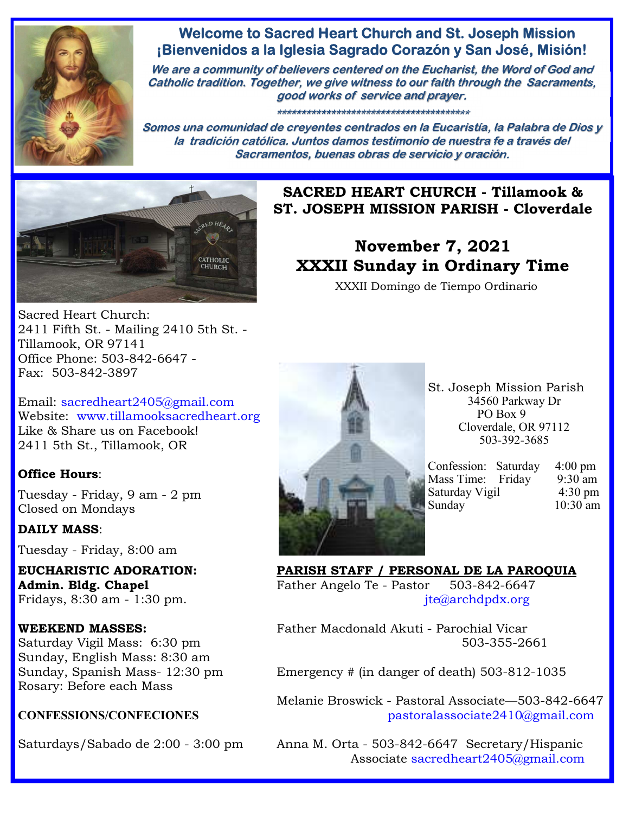

## **Welcome to Sacred Heart Church and St. Joseph Mission ¡Bienvenidos a la Iglesia Sagrado Corazón y San José, Misión!**

**We are a community of believers centered on the Eucharist, the Word of God and Catholic tradition. Together, we give witness to our faith through the Sacraments, good works of service and prayer.**

**\*\*\*\*\*\*\*\*\*\*\*\*\*\*\*\*\*\*\*\*\*\*\*\*\*\*\*\*\*\*\*\*\*\*\*\*\*\*\***

**Somos una comunidad de creyentes centrados en la Eucaristía, la Palabra de Dios y la tradición católica. Juntos damos testimonio de nuestra fe a través del Sacramentos, buenas obras de servicio y oración.**



**SACRED HEART CHURCH - Tillamook & ST. JOSEPH MISSION PARISH - Cloverdale** 

# **November 7, 2021 XXXII Sunday in Ordinary Time**

XXXII Domingo de Tiempo Ordinario

Sacred Heart Church: 2411 Fifth St. - Mailing 2410 5th St. - Tillamook, OR 97141 Office Phone: 503-842-6647 - Fax: 503-842-3897

Email: sacredheart2405@gmail.com Website: www.tillamooksacredheart.org Like & Share us on Facebook! 2411 5th St., Tillamook, OR

### **Office Hours**:

Tuesday - Friday, 9 am - 2 pm Closed on Mondays

### **DAILY MASS**:

Tuesday - Friday, 8:00 am

Sunday, English Mass: 8:30 am Rosary: Before each Mass



St. Joseph Mission Parish 34560 Parkway Dr PO Box 9 Cloverdale, OR 97112 503-392-3685

| $4:00 \text{ pm}$                                           |
|-------------------------------------------------------------|
| 9:30 am                                                     |
| $4:30 \text{ pm}$                                           |
| 10:30 am                                                    |
| Confession: Saturday<br>Mass Time: Friday<br>Saturday Vigil |

**EUCHARISTIC ADORATION: PARISH STAFF / PERSONAL DE LA PAROQUIA**  Admin. Bldg. Chapel **Father Angelo Te - Pastor** 503-842-6647 Fridays, 8:30 am - 1:30 pm.  $\text{if } f \in \mathcal{Q} \text{archdpdx.org}$ 

**WEEKEND MASSES:** Father Macdonald Akuti - Parochial Vicar Saturday Vigil Mass: 6:30 pm 503-355-2661

Sunday, Spanish Mass- 12:30 pm Emergency # (in danger of death) 503-812-1035

 Melanie Broswick - Pastoral Associate—503-842-6647 **CONFESSIONS/CONFECIONES** pastoralassociate2410@gmail.com

Saturdays/Sabado de 2:00 - 3:00 pm Anna M. Orta - 503-842-6647 Secretary/Hispanic Associate sacredheart2405@gmail.com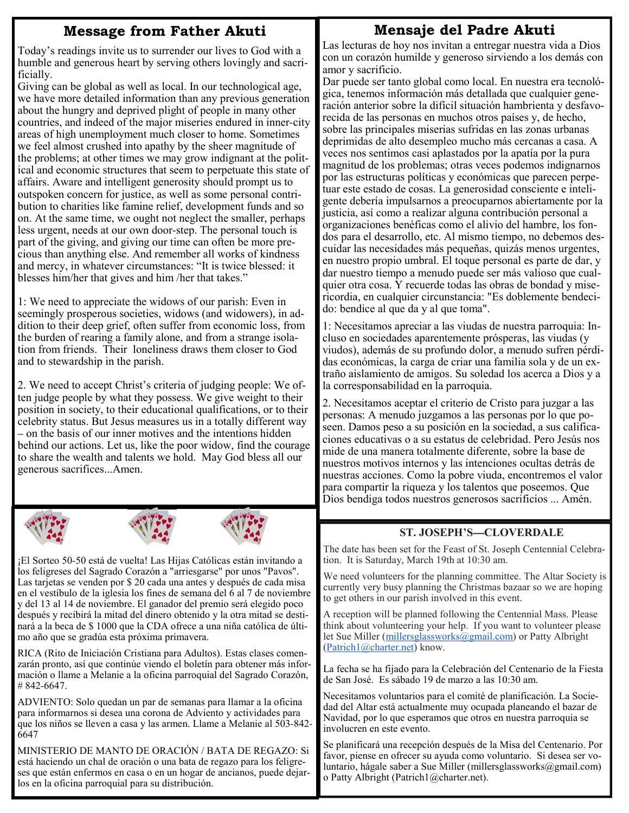## **Message from Father Akuti**

Today's readings invite us to surrender our lives to God with a humble and generous heart by serving others lovingly and sacrificially.

Giving can be global as well as local. In our technological age, we have more detailed information than any previous generation about the hungry and deprived plight of people in many other countries, and indeed of the major miseries endured in inner-city areas of high unemployment much closer to home. Sometimes we feel almost crushed into apathy by the sheer magnitude of the problems; at other times we may grow indignant at the political and economic structures that seem to perpetuate this state of affairs. Aware and intelligent generosity should prompt us to outspoken concern for justice, as well as some personal contribution to charities like famine relief, development funds and so on. At the same time, we ought not neglect the smaller, perhaps less urgent, needs at our own door-step. The personal touch is part of the giving, and giving our time can often be more precious than anything else. And remember all works of kindness and mercy, in whatever circumstances: "It is twice blessed: it blesses him/her that gives and him /her that takes."

1: We need to appreciate the widows of our parish: Even in seemingly prosperous societies, widows (and widowers), in addition to their deep grief, often suffer from economic loss, from the burden of rearing a family alone, and from a strange isolation from friends. Their loneliness draws them closer to God and to stewardship in the parish.

2. We need to accept Christ's criteria of judging people: We often judge people by what they possess. We give weight to their position in society, to their educational qualifications, or to their celebrity status. But Jesus measures us in a totally different way – on the basis of our inner motives and the intentions hidden behind our actions. Let us, like the poor widow, find the courage to share the wealth and talents we hold. May God bless all our generous sacrifices...Amen.







¡El Sorteo 50-50 está de vuelta! Las Hijas Católicas están invitando a los feligreses del Sagrado Corazón a "arriesgarse" por unos "Pavos". Las tarjetas se venden por \$ 20 cada una antes y después de cada misa en el vestíbulo de la iglesia los fines de semana del 6 al 7 de noviembre y del 13 al 14 de noviembre. El ganador del premio será elegido poco después y recibirá la mitad del dinero obtenido y la otra mitad se destinará a la beca de \$ 1000 que la CDA ofrece a una niña católica de último año que se gradúa esta próxima primavera.

RICA (Rito de Iniciación Cristiana para Adultos). Estas clases comenzarán pronto, así que continúe viendo el boletín para obtener más información o llame a Melanie a la oficina parroquial del Sagrado Corazón, # 842-6647.

ADVIENTO: Solo quedan un par de semanas para llamar a la oficina para informarnos si desea una corona de Adviento y actividades para que los niños se lleven a casa y las armen. Llame a Melanie al 503-842- 6647

MINISTERIO DE MANTO DE ORACIÓN / BATA DE REGAZO: Si está haciendo un chal de oración o una bata de regazo para los feligreses que están enfermos en casa o en un hogar de ancianos, puede dejarlos en la oficina parroquial para su distribución.

## **Mensaje del Padre Akuti**

Las lecturas de hoy nos invitan a entregar nuestra vida a Dios con un corazón humilde y generoso sirviendo a los demás con amor y sacrificio.

Dar puede ser tanto global como local. En nuestra era tecnológica, tenemos información más detallada que cualquier generación anterior sobre la difícil situación hambrienta y desfavorecida de las personas en muchos otros países y, de hecho, sobre las principales miserias sufridas en las zonas urbanas deprimidas de alto desempleo mucho más cercanas a casa. A veces nos sentimos casi aplastados por la apatía por la pura magnitud de los problemas; otras veces podemos indignarnos por las estructuras políticas y económicas que parecen perpetuar este estado de cosas. La generosidad consciente e inteligente debería impulsarnos a preocuparnos abiertamente por la justicia, así como a realizar alguna contribución personal a organizaciones benéficas como el alivio del hambre, los fondos para el desarrollo, etc. Al mismo tiempo, no debemos descuidar las necesidades más pequeñas, quizás menos urgentes, en nuestro propio umbral. El toque personal es parte de dar, y dar nuestro tiempo a menudo puede ser más valioso que cualquier otra cosa. Y recuerde todas las obras de bondad y misericordia, en cualquier circunstancia: "Es doblemente bendecido: bendice al que da y al que toma".

1: Necesitamos apreciar a las viudas de nuestra parroquia: Incluso en sociedades aparentemente prósperas, las viudas (y viudos), además de su profundo dolor, a menudo sufren pérdidas económicas, la carga de criar una familia sola y de un extraño aislamiento de amigos. Su soledad los acerca a Dios y a la corresponsabilidad en la parroquia.

2. Necesitamos aceptar el criterio de Cristo para juzgar a las personas: A menudo juzgamos a las personas por lo que poseen. Damos peso a su posición en la sociedad, a sus calificaciones educativas o a su estatus de celebridad. Pero Jesús nos mide de una manera totalmente diferente, sobre la base de nuestros motivos internos y las intenciones ocultas detrás de nuestras acciones. Como la pobre viuda, encontremos el valor para compartir la riqueza y los talentos que poseemos. Que Dios bendiga todos nuestros generosos sacrificios ... Amén.

### **ST. JOSEPH'S—CLOVERDALE**

The date has been set for the Feast of St. Joseph Centennial Celebration. It is Saturday, March 19th at 10:30 am.

We need volunteers for the planning committee. The Altar Society is currently very busy planning the Christmas bazaar so we are hoping to get others in our parish involved in this event.

A reception will be planned following the Centennial Mass. Please think about volunteering your help. If you want to volunteer please let Sue Miller (millersglassworks@gmail.com) or Patty Albright (Patrich1@charter.net) know.

La fecha se ha fijado para la Celebración del Centenario de la Fiesta de San José. Es sábado 19 de marzo a las 10:30 am.

Necesitamos voluntarios para el comité de planificación. La Sociedad del Altar está actualmente muy ocupada planeando el bazar de Navidad, por lo que esperamos que otros en nuestra parroquia se involucren en este evento.

Se planificará una recepción después de la Misa del Centenario. Por favor, piense en ofrecer su ayuda como voluntario. Si desea ser voluntario, hágale saber a Sue Miller (millersglassworks@gmail.com) o Patty Albright (Patrich1@charter.net).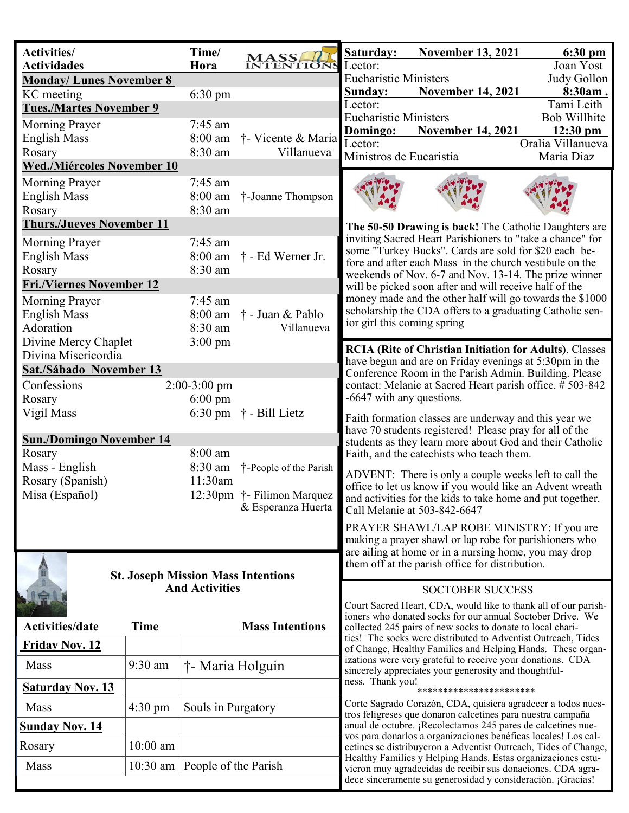| <b>Activities/</b><br><b>Actividades</b>    |                                 | Time/<br>Hora                                                                                                      | <b>MASS</b><br>INTENTION                                                                                 | Saturday:<br>Lector:                                                                                                                                                                                                                                             | <b>November 13, 2021</b>                                                                                                    | 6:30 pm<br>Joan Yost |
|---------------------------------------------|---------------------------------|--------------------------------------------------------------------------------------------------------------------|----------------------------------------------------------------------------------------------------------|------------------------------------------------------------------------------------------------------------------------------------------------------------------------------------------------------------------------------------------------------------------|-----------------------------------------------------------------------------------------------------------------------------|----------------------|
| <b>Monday/Lunes November 8</b>              |                                 |                                                                                                                    |                                                                                                          | <b>Eucharistic Ministers</b>                                                                                                                                                                                                                                     |                                                                                                                             | Judy Gollon          |
| KC meeting                                  |                                 | $6:30$ pm                                                                                                          |                                                                                                          | <b>Sunday:</b>                                                                                                                                                                                                                                                   | <b>November 14, 2021</b>                                                                                                    | 8:30am.              |
| <b>Tues./Martes November 9</b>              |                                 |                                                                                                                    |                                                                                                          | Lector:                                                                                                                                                                                                                                                          |                                                                                                                             | Tami Leith           |
|                                             |                                 | 7:45 am                                                                                                            |                                                                                                          | <b>Eucharistic Ministers</b>                                                                                                                                                                                                                                     |                                                                                                                             | <b>Bob Willhite</b>  |
| <b>Morning Prayer</b>                       |                                 |                                                                                                                    |                                                                                                          | Domingo:                                                                                                                                                                                                                                                         | <b>November 14, 2021</b>                                                                                                    | $12:30 \text{ pm}$   |
| <b>English Mass</b>                         |                                 | 8:00 am                                                                                                            | † Vicente & Maria                                                                                        | Lector:                                                                                                                                                                                                                                                          |                                                                                                                             | Oralia Villanueva    |
| Rosary                                      |                                 | 8:30 am                                                                                                            | Villanueva                                                                                               | Ministros de Eucaristía                                                                                                                                                                                                                                          |                                                                                                                             | Maria Diaz           |
| <b>Wed./Miércoles November 10</b>           |                                 |                                                                                                                    |                                                                                                          |                                                                                                                                                                                                                                                                  |                                                                                                                             |                      |
| Morning Prayer                              |                                 | $7:45$ am                                                                                                          |                                                                                                          |                                                                                                                                                                                                                                                                  |                                                                                                                             |                      |
| <b>English Mass</b>                         |                                 | 8:00 am                                                                                                            | †-Joanne Thompson                                                                                        |                                                                                                                                                                                                                                                                  |                                                                                                                             |                      |
| Rosary                                      |                                 | 8:30 am                                                                                                            |                                                                                                          |                                                                                                                                                                                                                                                                  |                                                                                                                             |                      |
| <b>Thurs./Jueves November 11</b>            |                                 |                                                                                                                    |                                                                                                          |                                                                                                                                                                                                                                                                  | The 50-50 Drawing is back! The Catholic Daughters are                                                                       |                      |
| Morning Prayer                              |                                 | $7:45$ am                                                                                                          |                                                                                                          |                                                                                                                                                                                                                                                                  | inviting Sacred Heart Parishioners to "take a chance" for                                                                   |                      |
| <b>English Mass</b>                         |                                 | 8:00 am                                                                                                            | † - Ed Werner Jr.                                                                                        |                                                                                                                                                                                                                                                                  | some "Turkey Bucks". Cards are sold for \$20 each be-                                                                       |                      |
| Rosary                                      |                                 | 8:30 am                                                                                                            |                                                                                                          |                                                                                                                                                                                                                                                                  | fore and after each Mass in the church vestibule on the<br>weekends of Nov. 6-7 and Nov. 13-14. The prize winner            |                      |
| <b>Fri./Viernes November 12</b>             |                                 |                                                                                                                    |                                                                                                          |                                                                                                                                                                                                                                                                  | will be picked soon after and will receive half of the                                                                      |                      |
| Morning Prayer                              |                                 | 7:45 am                                                                                                            |                                                                                                          |                                                                                                                                                                                                                                                                  | money made and the other half will go towards the \$1000                                                                    |                      |
| <b>English Mass</b>                         |                                 | $8:00$ am                                                                                                          | † - Juan & Pablo                                                                                         |                                                                                                                                                                                                                                                                  | scholarship the CDA offers to a graduating Catholic sen-                                                                    |                      |
| Adoration                                   |                                 | 8:30 am                                                                                                            | Villanueva                                                                                               | ior girl this coming spring                                                                                                                                                                                                                                      |                                                                                                                             |                      |
| Divine Mercy Chaplet                        |                                 | $3:00 \text{ pm}$                                                                                                  |                                                                                                          |                                                                                                                                                                                                                                                                  |                                                                                                                             |                      |
| Divina Misericordia                         |                                 |                                                                                                                    |                                                                                                          | <b>RCIA (Rite of Christian Initiation for Adults). Classes</b>                                                                                                                                                                                                   |                                                                                                                             |                      |
| <b>Sat./Sábado November 13</b>              |                                 |                                                                                                                    |                                                                                                          |                                                                                                                                                                                                                                                                  | have begun and are on Friday evenings at 5:30pm in the                                                                      |                      |
| Confessions<br>$2:00-3:00$ pm               |                                 | Conference Room in the Parish Admin. Building. Please<br>contact: Melanie at Sacred Heart parish office. # 503-842 |                                                                                                          |                                                                                                                                                                                                                                                                  |                                                                                                                             |                      |
| Rosary                                      |                                 | $6:00 \text{ pm}$                                                                                                  |                                                                                                          | -6647 with any questions.                                                                                                                                                                                                                                        |                                                                                                                             |                      |
| Vigil Mass                                  |                                 |                                                                                                                    |                                                                                                          |                                                                                                                                                                                                                                                                  |                                                                                                                             |                      |
|                                             | 6:30 pm $\uparrow$ - Bill Lietz |                                                                                                                    |                                                                                                          | Faith formation classes are underway and this year we                                                                                                                                                                                                            |                                                                                                                             |                      |
| <b>Sun./Domingo November 14</b>             |                                 | have 70 students registered! Please pray for all of the                                                            |                                                                                                          |                                                                                                                                                                                                                                                                  |                                                                                                                             |                      |
| 8:00 am<br>Rosary                           |                                 |                                                                                                                    | students as they learn more about God and their Catholic<br>Faith, and the catechists who teach them.    |                                                                                                                                                                                                                                                                  |                                                                                                                             |                      |
| Mass - English                              |                                 | 8:30 am                                                                                                            | <sup>†</sup> -People of the Parish                                                                       |                                                                                                                                                                                                                                                                  |                                                                                                                             |                      |
| Rosary (Spanish)                            |                                 | 11:30am                                                                                                            |                                                                                                          | ADVENT: There is only a couple weeks left to call the                                                                                                                                                                                                            |                                                                                                                             |                      |
| Misa (Español)                              | 12:30pm † Filimon Marquez       |                                                                                                                    |                                                                                                          |                                                                                                                                                                                                                                                                  | office to let us know if you would like an Advent wreath                                                                    |                      |
| & Esperanza Huerta                          |                                 |                                                                                                                    | and activities for the kids to take home and put together.<br>Call Melanie at 503-842-6647               |                                                                                                                                                                                                                                                                  |                                                                                                                             |                      |
|                                             |                                 |                                                                                                                    |                                                                                                          |                                                                                                                                                                                                                                                                  |                                                                                                                             |                      |
|                                             |                                 |                                                                                                                    |                                                                                                          |                                                                                                                                                                                                                                                                  | PRAYER SHAWL/LAP ROBE MINISTRY: If you are<br>making a prayer shawl or lap robe for parishioners who                        |                      |
|                                             |                                 |                                                                                                                    |                                                                                                          |                                                                                                                                                                                                                                                                  |                                                                                                                             |                      |
|                                             |                                 |                                                                                                                    | are ailing at home or in a nursing home, you may drop<br>them off at the parish office for distribution. |                                                                                                                                                                                                                                                                  |                                                                                                                             |                      |
|                                             |                                 |                                                                                                                    | <b>St. Joseph Mission Mass Intentions</b>                                                                |                                                                                                                                                                                                                                                                  |                                                                                                                             |                      |
|                                             |                                 | <b>And Activities</b>                                                                                              |                                                                                                          |                                                                                                                                                                                                                                                                  | <b>SOCTOBER SUCCESS</b>                                                                                                     |                      |
|                                             |                                 |                                                                                                                    |                                                                                                          | Court Sacred Heart, CDA, would like to thank all of our parish-                                                                                                                                                                                                  |                                                                                                                             |                      |
|                                             |                                 |                                                                                                                    | ioners who donated socks for our annual Soctober Drive. We                                               |                                                                                                                                                                                                                                                                  |                                                                                                                             |                      |
| <b>Activities/date</b>                      | <b>Time</b>                     |                                                                                                                    | <b>Mass Intentions</b>                                                                                   |                                                                                                                                                                                                                                                                  | collected 245 pairs of new socks to donate to local chari-<br>ties! The socks were distributed to Adventist Outreach, Tides |                      |
| <b>Friday Nov. 12</b>                       |                                 |                                                                                                                    |                                                                                                          |                                                                                                                                                                                                                                                                  | of Change, Healthy Families and Helping Hands. These organ-                                                                 |                      |
| Mass                                        | 9:30 am                         | † Maria Holguin                                                                                                    |                                                                                                          |                                                                                                                                                                                                                                                                  | izations were very grateful to receive your donations. CDA                                                                  |                      |
|                                             |                                 |                                                                                                                    |                                                                                                          |                                                                                                                                                                                                                                                                  | sincerely appreciates your generosity and thoughtful-                                                                       |                      |
| ness. Thank you!<br><b>Saturday Nov. 13</b> |                                 |                                                                                                                    |                                                                                                          |                                                                                                                                                                                                                                                                  | **********************                                                                                                      |                      |
| Mass                                        | $4:30 \text{ pm}$               | Souls in Purgatory                                                                                                 |                                                                                                          | Corte Sagrado Corazón, CDA, quisiera agradecer a todos nues-<br>tros feligreses que donaron calcetines para nuestra campaña                                                                                                                                      |                                                                                                                             |                      |
| <b>Sunday Nov. 14</b>                       |                                 |                                                                                                                    |                                                                                                          |                                                                                                                                                                                                                                                                  | anual de octubre. ¡Recolectamos 245 pares de calcetines nue-                                                                |                      |
| Rosary                                      | $10:00$ am                      |                                                                                                                    |                                                                                                          | vos para donarlos a organizaciones benéficas locales! Los cal-<br>cetines se distribuyeron a Adventist Outreach, Tides of Change,<br>Healthy Families y Helping Hands. Estas organizaciones estu-<br>vieron muy agradecidas de recibir sus donaciones. CDA agra- |                                                                                                                             |                      |
| Mass                                        | $10:30$ am                      | People of the Parish                                                                                               |                                                                                                          |                                                                                                                                                                                                                                                                  |                                                                                                                             |                      |
|                                             |                                 |                                                                                                                    |                                                                                                          |                                                                                                                                                                                                                                                                  | dece sinceramente su generosidad y consideración. ¡Gracias!                                                                 |                      |